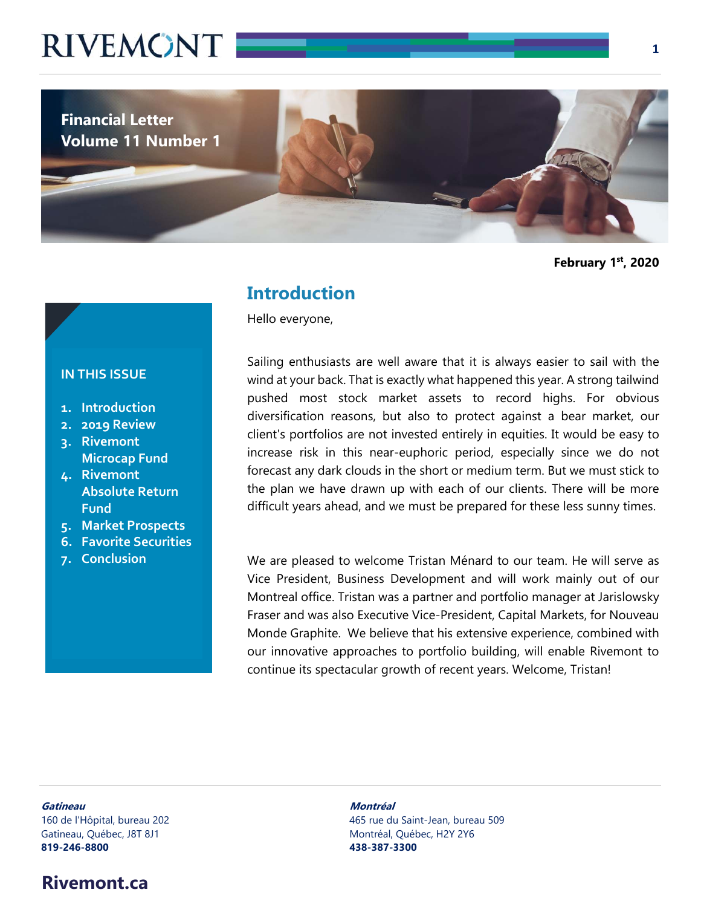

**February 1st, 2020** 

#### **Introduction**

Hello everyone,

#### Sailing enthusiasts are well aware that it is always easier to sail with the wind at your back. That is exactly what happened this year. A strong tailwind pushed most stock market assets to record highs. For obvious diversification reasons, but also to protect against a bear market, our client's portfolios are not invested entirely in equities. It would be easy to increase risk in this near-euphoric period, especially since we do not forecast any dark clouds in the short or medium term. But we must stick to the plan we have drawn up with each of our clients. There will be more difficult years ahead, and we must be prepared for these less sunny times.

We are pleased to welcome Tristan Ménard to our team. He will serve as Vice President, Business Development and will work mainly out of our Montreal office. Tristan was a partner and portfolio manager at Jarislowsky Fraser and was also Executive Vice-President, Capital Markets, for Nouveau Monde Graphite. We believe that his extensive experience, combined with our innovative approaches to portfolio building, will enable Rivemont to continue its spectacular growth of recent years. Welcome, Tristan!

#### **IN THIS ISSUE**

- **1. Introduction**
- **2. 2019 Review**
- **3. Rivemont Microcap Fund**
- **4. Rivemont Absolute Return Fund**
- **5. Market Prospects**
- **6. Favorite Securities**
- **7. Conclusion**

## **819-246-8800 438-387-3300**

**Gatineau Montréal**  160 de l'Hôpital, bureau 202 465 rue du Saint-Jean, bureau 509 Gatineau, Québec, J8T 8J1 Montréal, Québec, H2Y 2Y6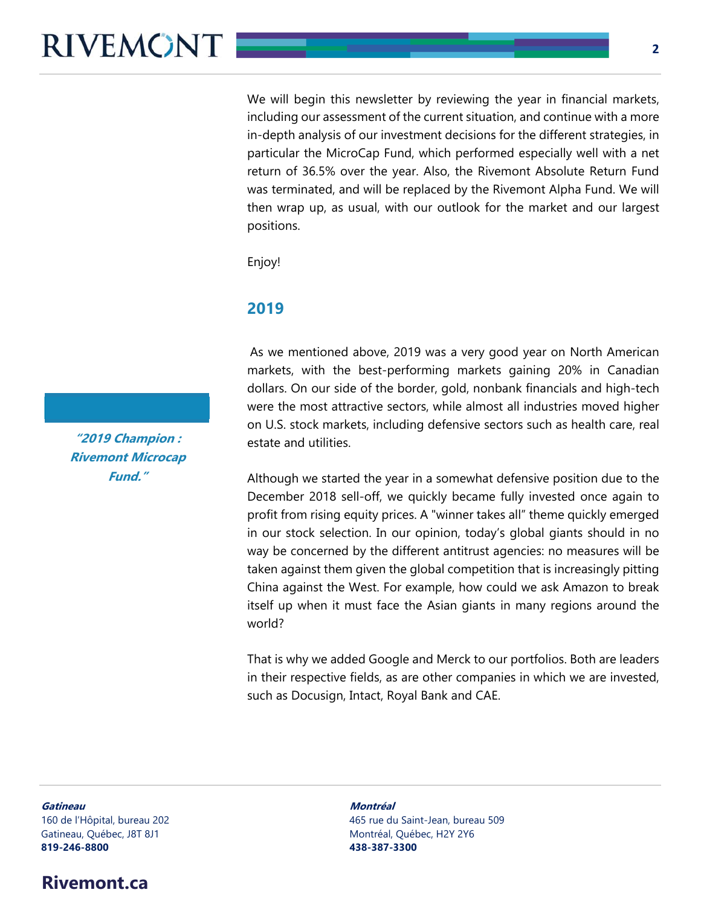We will begin this newsletter by reviewing the year in financial markets, including our assessment of the current situation, and continue with a more in-depth analysis of our investment decisions for the different strategies, in particular the MicroCap Fund, which performed especially well with a net return of 36.5% over the year. Also, the Rivemont Absolute Return Fund was terminated, and will be replaced by the Rivemont Alpha Fund. We will then wrap up, as usual, with our outlook for the market and our largest positions.

Enjoy!

#### **2019**

As we mentioned above, 2019 was a very good year on North American markets, with the best-performing markets gaining 20% in Canadian dollars. On our side of the border, gold, nonbank financials and high-tech were the most attractive sectors, while almost all industries moved higher on U.S. stock markets, including defensive sectors such as health care, real estate and utilities.

Although we started the year in a somewhat defensive position due to the December 2018 sell-off, we quickly became fully invested once again to profit from rising equity prices. A "winner takes all" theme quickly emerged in our stock selection. In our opinion, today's global giants should in no way be concerned by the different antitrust agencies: no measures will be taken against them given the global competition that is increasingly pitting China against the West. For example, how could we ask Amazon to break itself up when it must face the Asian giants in many regions around the world?

That is why we added Google and Merck to our portfolios. Both are leaders in their respective fields, as are other companies in which we are invested, such as Docusign, Intact, Royal Bank and CAE.

**Gatineau Montréal**  Gatineau, Québec, J8T 8J1 Montréal, Québec, H2Y 2Y6 **819-246-8800 438-387-3300**

### **Rivemont.ca**

160 de l'Hôpital, bureau 202 465 rue du Saint-Jean, bureau 509

**"2019 Champion : Rivemont Microcap Fund."**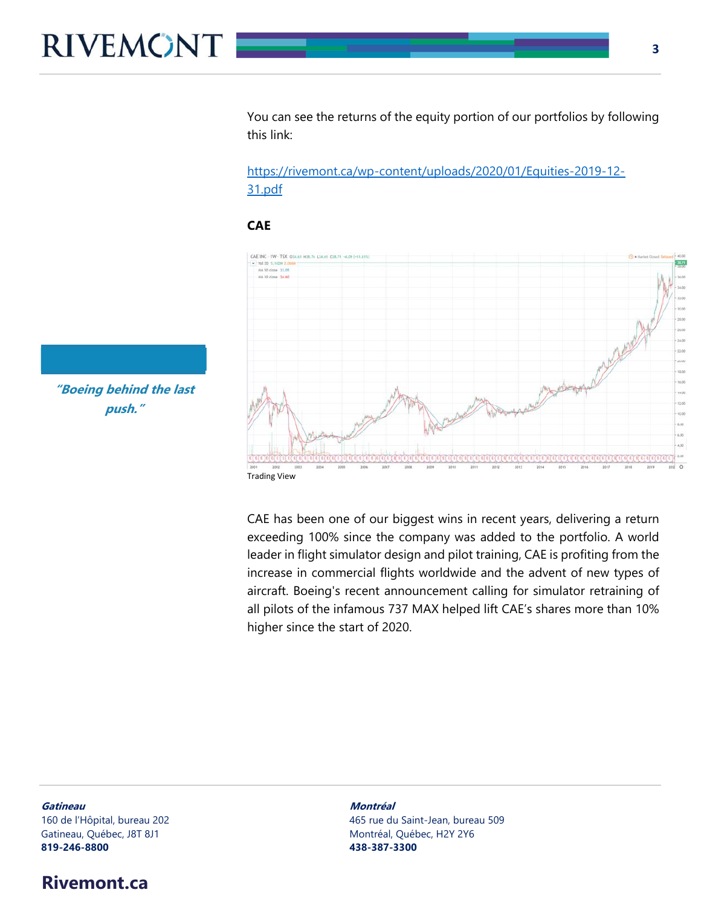You can see the returns of the equity portion of our portfolios by following this link:

https://rivemont.ca/wp-content/uploads/2020/01/Equities-2019-12- 31.pdf

#### **CAE**



CAE has been one of our biggest wins in recent years, delivering a return exceeding 100% since the company was added to the portfolio. A world leader in flight simulator design and pilot training, CAE is profiting from the increase in commercial flights worldwide and the advent of new types of aircraft. Boeing's recent announcement calling for simulator retraining of all pilots of the infamous 737 MAX helped lift CAE's shares more than 10% higher since the start of 2020.

**"Boeing behind the last push."** 

Gatineau, Québec, J8T 8J1 d'annument de la commune de Montréal, Québec, H2Y 2Y6 **819-246-8800 438-387-3300**

### **Rivemont.ca**

**Gatineau Montréal**  160 de l'Hôpital, bureau 202 465 rue du Saint-Jean, bureau 509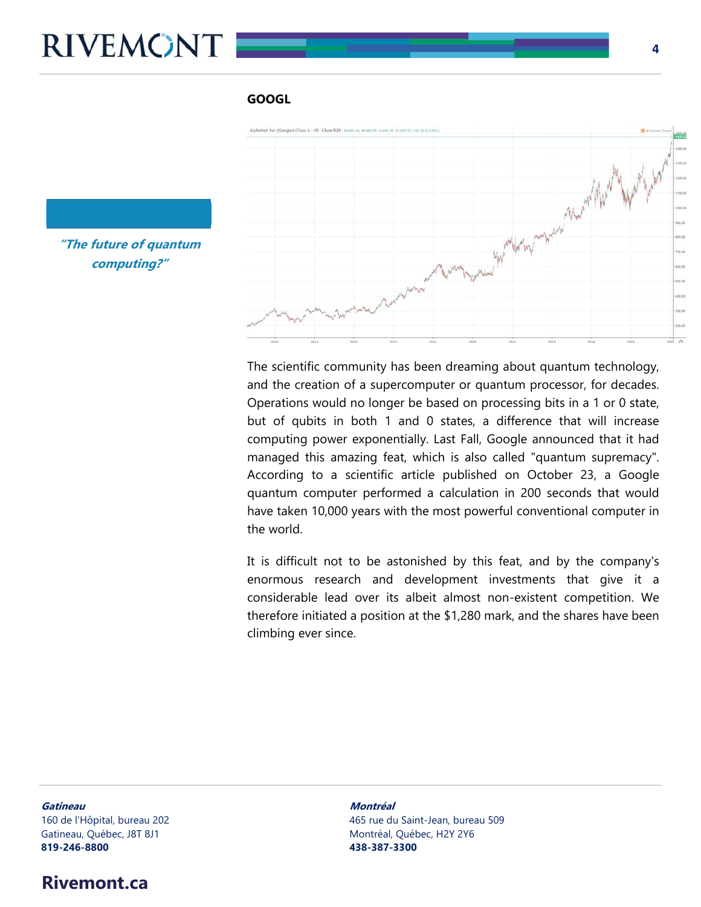#### **GOOGL**



**"The future of quantum computing?"** 

> The scientific community has been dreaming about quantum technology, and the creation of a supercomputer or quantum processor, for decades. Operations would no longer be based on processing bits in a 1 or 0 state, but of qubits in both 1 and 0 states, a difference that will increase computing power exponentially. Last Fall, Google announced that it had managed this amazing feat, which is also called "quantum supremacy". According to a scientific article published on October 23, a Google quantum computer performed a calculation in 200 seconds that would have taken 10,000 years with the most powerful conventional computer in the world.

> It is difficult not to be astonished by this feat, and by the company's enormous research and development investments that give it a considerable lead over its albeit almost non-existent competition. We therefore initiated a position at the \$1,280 mark, and the shares have been climbing ever since.

**Gatineau Montréal**  Gatineau, Québec, J8T 8J1 Montréal, Québec, H2Y 2Y6

## **819-246-8800 438-387-3300**

160 de l'Hôpital, bureau 202 465 rue du Saint-Jean, bureau 509

#### **Rivemont.ca**

**4**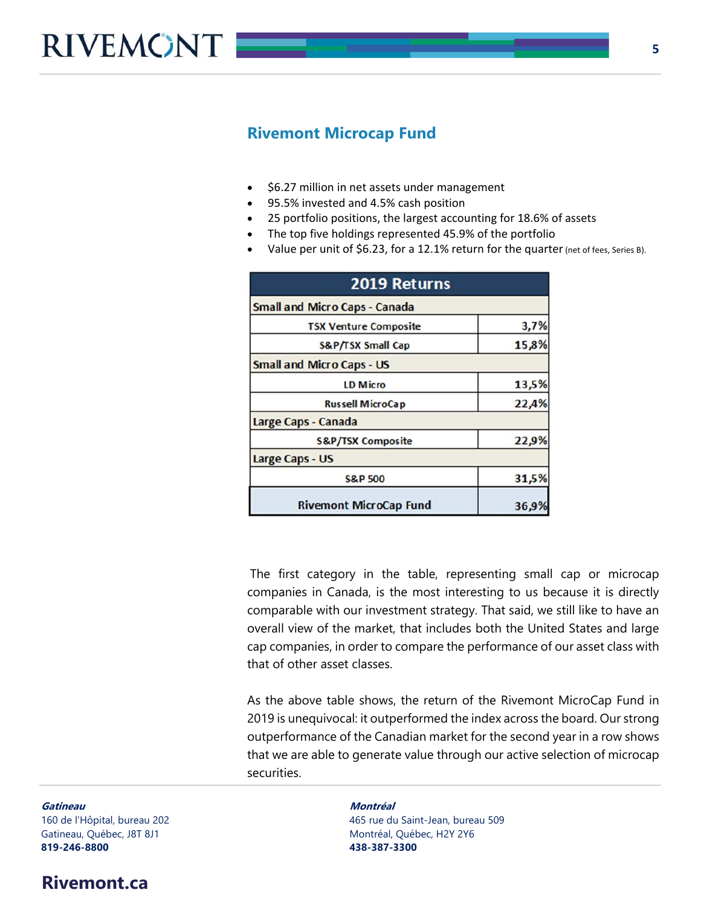

#### **Rivemont Microcap Fund**

- \$6.27 million in net assets under management
- 95.5% invested and 4.5% cash position
- 25 portfolio positions, the largest accounting for 18.6% of assets
- The top five holdings represented 45.9% of the portfolio
- Value per unit of \$6.23, for a 12.1% return for the quarter (net of fees, Series B).

| 2019 Returns<br><b>Small and Micro Caps - Canada</b> |       |  |
|------------------------------------------------------|-------|--|
|                                                      |       |  |
| S&P/TSX Small Cap                                    | 15,8% |  |
| <b>Small and Micro Caps - US</b>                     |       |  |
| <b>LD Micro</b>                                      | 13,5% |  |
| <b>Russell MicroCap</b>                              | 22,4% |  |
| Large Caps - Canada                                  |       |  |
| <b>S&amp;P/TSX Composite</b>                         | 22,9% |  |
| <b>Large Caps - US</b>                               |       |  |
| <b>S&amp;P 500</b>                                   | 31,5% |  |
| <b>Rivemont MicroCap Fund</b>                        | 36,9  |  |

The first category in the table, representing small cap or microcap companies in Canada, is the most interesting to us because it is directly comparable with our investment strategy. That said, we still like to have an overall view of the market, that includes both the United States and large cap companies, in order to compare the performance of our asset class with that of other asset classes.

As the above table shows, the return of the Rivemont MicroCap Fund in 2019 is unequivocal: it outperformed the index across the board. Our strong outperformance of the Canadian market for the second year in a row shows that we are able to generate value through our active selection of microcap securities.

**Gatineau Montréal**  Gatineau, Québec, J8T 8J1 Montréal, Québec, H2Y 2Y6 **819-246-8800 438-387-3300**

#### **Rivemont.ca**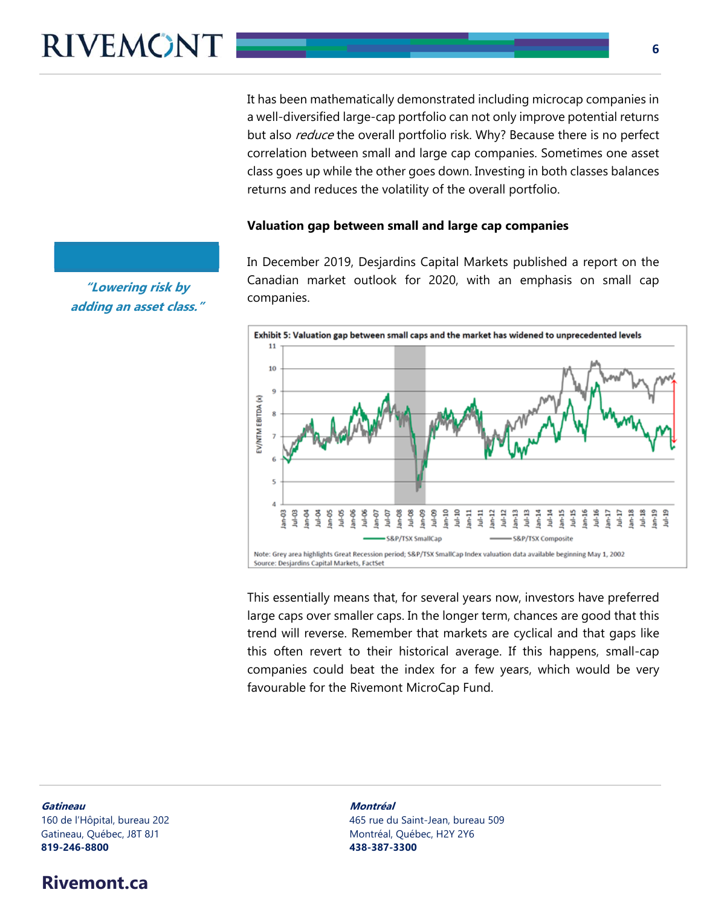It has been mathematically demonstrated including microcap companies in a well-diversified large-cap portfolio can not only improve potential returns but also *reduce* the overall portfolio risk. Why? Because there is no perfect correlation between small and large cap companies. Sometimes one asset class goes up while the other goes down. Investing in both classes balances returns and reduces the volatility of the overall portfolio.

#### **Valuation gap between small and large cap companies**

In December 2019, Desjardins Capital Markets published a report on the Canadian market outlook for 2020, with an emphasis on small cap companies.



This essentially means that, for several years now, investors have preferred large caps over smaller caps. In the longer term, chances are good that this trend will reverse. Remember that markets are cyclical and that gaps like this often revert to their historical average. If this happens, small-cap companies could beat the index for a few years, which would be very favourable for the Rivemont MicroCap Fund.

**Gatineau Montréal**  Gatineau, Québec, J8T 8J1 Montréal, Québec, H2Y 2Y6 **819-246-8800 438-387-3300**

### **Rivemont.ca**

160 de l'Hôpital, bureau 202 465 rue du Saint-Jean, bureau 509

**"Lowering risk by adding an asset class."**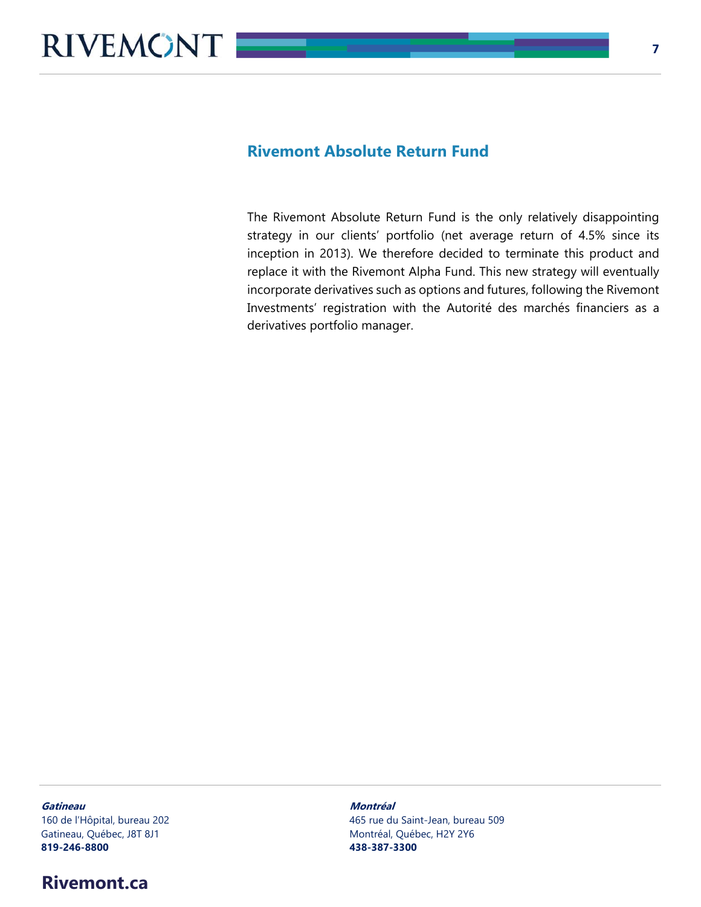#### **Rivemont Absolute Return Fund**

The Rivemont Absolute Return Fund is the only relatively disappointing strategy in our clients' portfolio (net average return of 4.5% since its inception in 2013). We therefore decided to terminate this product and replace it with the Rivemont Alpha Fund. This new strategy will eventually incorporate derivatives such as options and futures, following the Rivemont Investments' registration with the Autorité des marchés financiers as a derivatives portfolio manager.

#### **Gatineau Montréal**

Gatineau, Québec, J8T 8J1 de la component de la component de la montréal, Québec, H2Y 2Y6 **819-246-8800 438-387-3300**

#### **Rivemont.ca**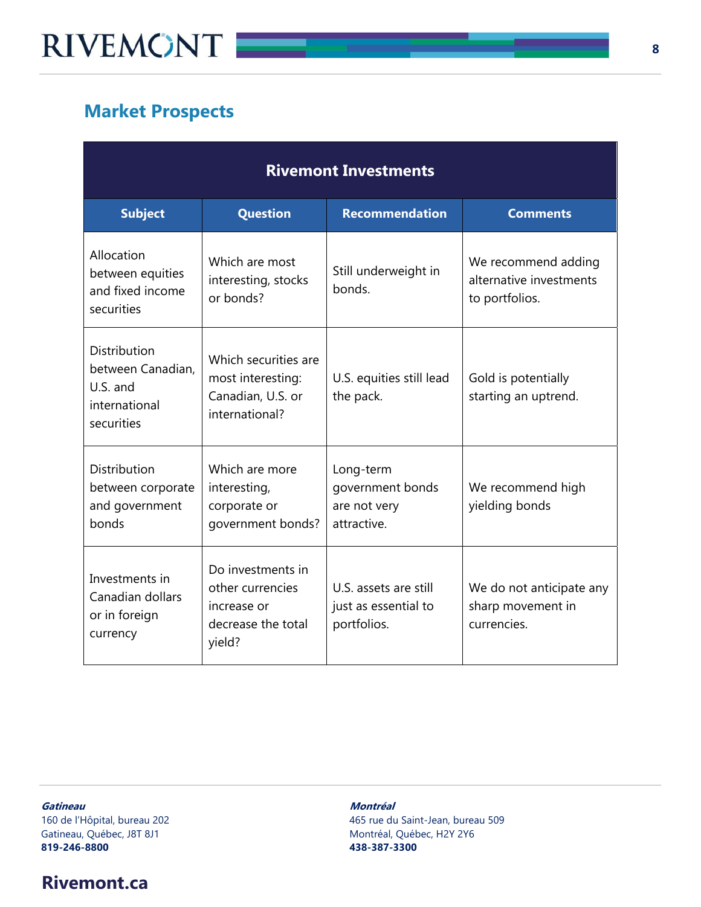## **Market Prospects**

| <b>Rivemont Investments</b>                                                         |                                                                                      |                                                              |                                                                  |  |
|-------------------------------------------------------------------------------------|--------------------------------------------------------------------------------------|--------------------------------------------------------------|------------------------------------------------------------------|--|
| <b>Subject</b>                                                                      | Question                                                                             | <b>Recommendation</b>                                        | <b>Comments</b>                                                  |  |
| Allocation<br>between equities<br>and fixed income<br>securities                    | Which are most<br>interesting, stocks<br>or bonds?                                   | Still underweight in<br>bonds.                               | We recommend adding<br>alternative investments<br>to portfolios. |  |
| <b>Distribution</b><br>between Canadian,<br>U.S. and<br>international<br>securities | Which securities are<br>most interesting:<br>Canadian, U.S. or<br>international?     | U.S. equities still lead<br>the pack.                        | Gold is potentially<br>starting an uptrend.                      |  |
| <b>Distribution</b><br>between corporate<br>and government<br>bonds                 | Which are more<br>interesting,<br>corporate or<br>government bonds?                  | Long-term<br>government bonds<br>are not very<br>attractive. | We recommend high<br>yielding bonds                              |  |
| Investments in<br>Canadian dollars<br>or in foreign<br>currency                     | Do investments in<br>other currencies<br>increase or<br>decrease the total<br>yield? | U.S. assets are still<br>just as essential to<br>portfolios. | We do not anticipate any<br>sharp movement in<br>currencies.     |  |

**Gatineau Montréal**  Gatineau, Québec, J8T 8J1 Montréal, Québec, H2Y 2Y6 **819-246-8800 438-387-3300**

# 160 de l'Hôpital, bureau 202 465 rue du Saint-Jean, bureau 509

## **Rivemont.ca**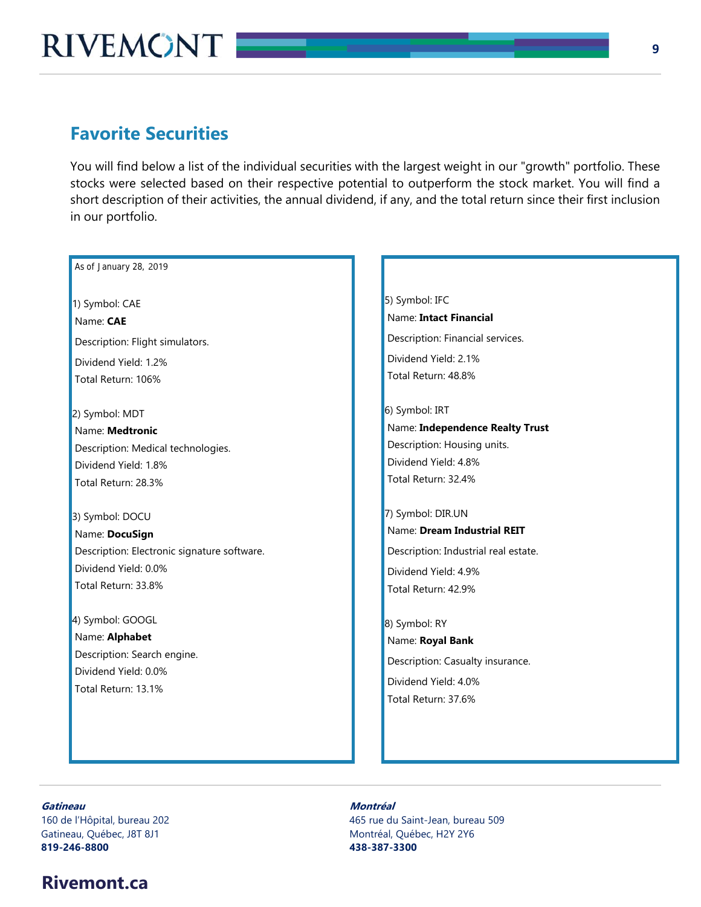### **Favorite Securities**

You will find below a list of the individual securities with the largest weight in our "growth" portfolio. These stocks were selected based on their respective potential to outperform the stock market. You will find a short description of their activities, the annual dividend, if any, and the total return since their first inclusion in our portfolio.

#### As of January 28, 2019

1) Symbol: CAE Name: **CAE**  Description: Flight simulators. Dividend Yield: 1.2% Total Return: 106%

2) Symbol: MDT Name: **Medtronic**  Description: Medical technologies. Dividend Yield: 1.8% Total Return: 28.3%

3) Symbol: DOCU Name: **DocuSign** Description: Electronic signature software. Dividend Yield: 0.0% Total Return: 33.8%

4) Symbol: GOOGL Name: **Alphabet**  Description: Search engine. Dividend Yield: 0.0% Total Return: 13.1%

5) Symbol: IFC Name: **Intact Financial**  Description: Financial services. Dividend Yield: 2.1% Total Return: 48.8%

6) Symbol: IRT Name: **Independence Realty Trust**  Description: Housing units. Dividend Yield: 4.8% Total Return: 32.4%

7) Symbol: DIR.UN Name: **Dream Industrial REIT**  Description: Industrial real estate. Dividend Yield: 4.9% Total Return: 42.9%

8) Symbol: RY Name: **Royal Bank**  Description: Casualty insurance. Dividend Yield: 4.0% Total Return: 37.6%

#### **Gatineau Montréal**

Gatineau, Québec, J8T 8J1 d'annument de la commune de Montréal, Québec, H2Y 2Y6 **819-246-8800 438-387-3300**

### **Rivemont.ca**